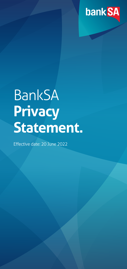

# BankSA **Privacy Statement.**

Effective date: 20 June 2022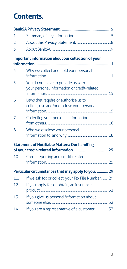# **Contents.**

| 1.              |                                                                                                 |  |
|-----------------|-------------------------------------------------------------------------------------------------|--|
| 2.              |                                                                                                 |  |
| 3.              |                                                                                                 |  |
|                 | Important information about our collection of your                                              |  |
| 4.              | Why we collect and hold your personal                                                           |  |
| 5.              | You do not have to provide us with<br>your personal information or credit-related               |  |
| 6.              | Laws that require or authorise us to<br>collect, use and/or disclose your personal              |  |
| 7.              | Collecting your personal information                                                            |  |
| 8.              | Who we disclose your personal                                                                   |  |
|                 | <b>Statement of Notifiable Matters: Our handling</b><br>of your credit-related information.  25 |  |
| 10 <sub>1</sub> | Credit reporting and credit-related                                                             |  |
|                 | Particular circumstances that may apply to you.  29                                             |  |
| 11              | If we ask for, or collect, your Tax File Number.  29                                            |  |
| 12.             | If you apply for, or obtain, an insurance                                                       |  |
| 13.             | If you give us personal information about                                                       |  |
| 14.             | If you are a representative of a customer.  32                                                  |  |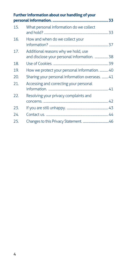|     | Further information about our handling of your                                     |  |
|-----|------------------------------------------------------------------------------------|--|
| 15. | What personal information do we collect                                            |  |
| 16. | How and when do we collect your                                                    |  |
| 17. | Additional reasons why we hold, use<br>and disclose your personal information.  38 |  |
| 18. |                                                                                    |  |
| 19. | How we protect your personal information.  40                                      |  |
| 20. | Sharing your personal information overseas.  41                                    |  |
| 21. | Accessing and correcting your personal                                             |  |
| 22. | Resolving your privacy complaints and                                              |  |
| 23. |                                                                                    |  |
| 24. |                                                                                    |  |
| 25. |                                                                                    |  |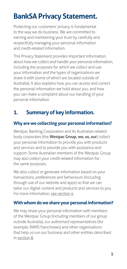# <span id="page-4-0"></span>**BankSA Privacy Statement.**

Protecting our customers' privacy is fundamental to the way we do business. We are committed to earning and maintaining your trust by carefully and respectfully managing your personal information and credit-related information.

This Privacy Statement provides important information about how we collect and handle your personal information, including the purposes for which we collect and use your information and the types of organisations we share it with (some of which are located outside of Australia). It also explains how you can access and correct the personal information we hold about you, and how you can make a complaint about our handling of your personal information.

# **1. Summary of key information.**

#### **Why are we collecting your personal information?**

Westpac Banking Corporation and its Australian related body corporates (the **Westpac Group, we, us, our**) collect your personal information to provide you with products and services and to provide you with assistance and support. Some Australian members of the Westpac Group may also collect your credit-related information for the same purposes.

We also collect or generate information based on your transactions, preferences and behaviours (including through use of our website and apps) so that we can tailor our digital content and products and services to you. For more information, [see section 4](#page-10-1).

#### **With whom do we share your personal information?**

We may share your personal information with members of the Westpac Group (including members of our group outside Australia), our authorised representatives (for example, RAMS franchisees) and other organisations that help us run our business and other entities described in [section 8](#page-17-1).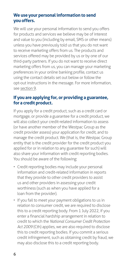#### **We use your personal information to send you offers.**

We will use your personal information to send you offers for products and services we believe may be of interest and value to you (including by email, SMS or other means) unless you have previously told us that you do not want to receive marketing offers from us. The products and services offered may be provided by us or by one of our third-party partners. If you do not want to receive direct marketing offers from us, you can manage your marketing preferences in your online banking profile, contact us using the contact details set out below or follow the opt-out instructions in the message. For more information, see [section 9](#page-23-0).

#### **If you are applying for, or providing a guarantee, for a credit product.**

If you apply for a credit product, such as a credit card or mortgage, or provide a guarantee for a credit product, we will also collect your credit-related information to assess (or have another member of the Westpac Group as the credit provider assess) your application for credit, and to manage the credit product. We (that is, the Westpac Group entity that is the credit provider for the credit product you applied for or in relation to any guarantee for such) will also share your information with credit reporting bodies. You should be aware of the following:

- Credit reporting bodies may include your personal information and credit-related information in reports that they provide to other credit providers to assist us and other providers in assessing your credit worthiness (such as when you have applied for a loan from the provider).
- If you fail to meet your payment obligations to us in relation to consumer credit, we are required to disclose this to a credit reporting body. From 1 July 2022, if you enter a financial hardship arrangement in relation to credit to which the *National Consumer Credit Protection Act 2009* (Cth) applies, we are also required to disclose this to credit reporting bodies. If you commit a serious credit infringement, such as obtaining credit by fraud, we may also disclose this to a credit reporting body.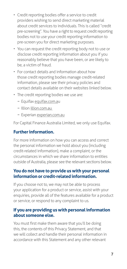- Credit reporting bodies offer a service to credit providers wishing to send direct marketing material about credit services to individuals. This is called "credit pre-screening". You have a right to request credit reporting bodies not to use your credit reporting information to pre-screen you for direct marketing purposes.
- You can request the credit reporting body not to use or disclose credit reporting information about you if you reasonably believe that you have been, or are likely to be, a victim of fraud.
- For contact details and information about how those credit reporting bodies manage credit-related information, please see their privacy policies and contact details available on their websites linked below.
- The credit reporting bodies we use are:
	- − Equifax [equifax.com.au](http://equifax.com.au)
	- − Illion [illion.com.au](http://illion.com.au)
	- − Experian [experian.com.au](http://experian.com.au)

For Capital Finance Australia Limited, we only use Equifax.

#### **Further information.**

For more information on how you can access and correct the personal information we hold about you (including credit-related information), make a complaint, or the circumstances in which we share information to entities outside of Australia, please see the relevant sections below.

#### **You do not have to provide us with your personal information or credit-related information.**

If you choose not to, we may not be able to process your application for a product or service, assist with your enquiries, provide all of the features available for a product or service, or respond to any complaint to us.

#### **If you are providing us with personal information about someone else.**

You must first make them aware that you'll be doing this, the contents of this Privacy Statement, and that we will collect and handle their personal information in accordance with this Statement and any other relevant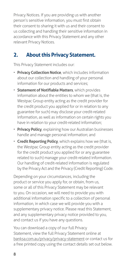<span id="page-7-0"></span>Privacy Notices. If you are providing us with another person's sensitive information, you must first obtain their consent to sharing it with us and their consent to us collecting and handling their sensitive information in accordance with this Privacy Statement and any other relevant Privacy Notices.

# **2. About this Privacy Statement.**

This Privacy Statement includes our:

- **Privacy Collection Notice**, which includes information about our collection and handling of your personal information for our products and services;
- **Statement of Notifiable Matters**, which provides information about the entities to whom we (that is, the Westpac Group entity acting as the credit provider for the credit product you applied for or in relation to any guarantee for such) may disclose your credit-related information, as well as information on certain rights you have in relation to your credit-related information;
- **Privacy Policy**, explaining how our Australian businesses handle and manage personal information; and
- **Credit Reporting Policy**, which explains how we (that is, the Westpac Group entity acting as the credit provider for the credit product you applied for or any guarantee related to such) manage your credit-related information. Our handling of credit-related information is regulated by the Privacy Act and the Privacy (Credit Reporting) Code.

Depending on your circumstances, including the product or service you apply for, or obtain, from us, some or all of this Privacy Statement may be relevant to you. On occasion, we will need to provide you with additional information specific to a collection of personal information, in which case we will provide you with a supplementary privacy notice. Please read this Statement, and any supplementary privacy notice provided to you, and contact us if you have any questions.

You can download a copy of our full Privacy Statement, view the full Privacy Statement online at [banksa.com.au/privacy/privacy-statement](http://banksa.com.au/privacy/privacy-statement) or contact us for a free printed copy using the contact details set out below.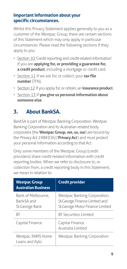#### <span id="page-8-0"></span>**Important information about your specific circumstances.**

Whilst this Privacy Statement applies generally to you as a customer of the Westpac Group, there are certain sections of this Statement which may only apply in particular circumstances. Please read the following sections if they apply to you:

- [Section 10](#page-24-1) 'Credit reporting and credit-related information' if you are **applying for, or providing a guarantee for, a credit product**, including a mortgage or credit card.
- [Section 11](#page-28-1) if we ask for, or collect, your **tax file number** (TFN).
- [Section 12](#page-30-1) if you apply for, or obtain, an **insurance product**.
- [Section 13](#page-31-1) if **you give us personal information about someone else**.

# <span id="page-8-1"></span>**3. About BankSA.**

BankSA is part of Westpac Banking Corporation. Westpac Banking Corporation and its Australian related body corporates (the **Westpac Group, we, us, our**) are bound by the *Privacy Act 1988* (Cth) ('**Privacy Act**') and must protect your personal information according to that Act.

Only some members of the Westpac Group (credit providers) share credit-related information with credit reporting bodies. When we refer to disclosure to, or collection from, a credit reporting body in this Statement, we mean in relation to:

| <b>Westpac Group</b><br><b>Australian Business</b>  | <b>Credit provider</b>                                                                             |
|-----------------------------------------------------|----------------------------------------------------------------------------------------------------|
| Bank of Melbourne.<br>BankSA and<br>St. George Bank | Westpac Banking Corporation,<br>St. George Finance Limited and<br>St. George Motor Finance Limited |
| RТ                                                  | <b>BT</b> Securities Limited                                                                       |
| Capital Finance                                     | Capital Finance<br>Australia Limited                                                               |
| Westpac, RAMS Home<br>Loans and Xylo                | <b>Westpac Banking Corporation</b>                                                                 |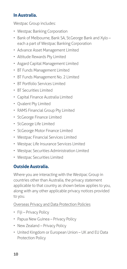#### **In Australia.**

Westpac Group includes:

- Westpac Banking Corporation
- Bank of Melbourne, Bank SA, St.George Bank and Xylo each a part of Westpac Banking Corporation
- Advance Asset Management Limited
- Altitude Rewards Pty Limited
- Asgard Capital Management Limited
- BT Funds Management Limited
- BT Funds Management No. 2 Limited
- BT Portfolio Services Limited
- BT Securities Limited
- Capital Finance Australia Limited
- Qvalent Pty Limited
- RAMS Financial Group Pty Limited
- St.George Finance Limited
- St.George Life Limited
- St.George Motor Finance Limited
- Westpac Financial Services Limited
- Westpac Life Insurance Services Limited
- Westpac Securities Administration Limited
- Westpac Securities Limited

#### **Outside Australia.**

Where you are interacting with the Westpac Group in countries other than Australia, the privacy statement applicable to that country as shown below applies to you, along with any other applicable privacy notices provided to you.

#### [Overseas Privacy and Data Protection Policies](http://www.banksa.com.au/privacy/overseas-privacy-and-data-protection-policies)

- Fiji Privacy Policy
- Papua New Guinea Privacy Policy
- New Zealand Privacy Policy
- United Kingdom or European Union UK and EU Data Protection Policy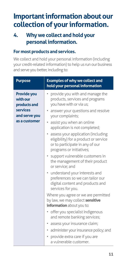# <span id="page-10-0"></span>**Important information about our collection of your information.**

# <span id="page-10-1"></span>**4. Why we collect and hold your personal information.**

#### **For most products and services.**

We collect and hold your personal information (including your credit-related information) to help us run our business and serve you better, including to:

| <b>Purpose</b>                                                              | <b>Examples of why we collect and</b><br>hold your personal information                                                                                     |
|-----------------------------------------------------------------------------|-------------------------------------------------------------------------------------------------------------------------------------------------------------|
| <b>Provide you</b><br>with our<br>products and<br>services<br>and serve you | • provide you with and manage the<br>products, services and programs<br>you have with or via us;<br>• answer your questions and resolve<br>your complaints; |
| as a customer                                                               | • assist you when an online<br>application is not completed;                                                                                                |
|                                                                             | assess your application (including<br>eligibility) for a product or service<br>or to participate in any of our<br>programs or initiatives;                  |
|                                                                             | · support vulnerable customers in<br>the management of their product<br>or service; and                                                                     |
|                                                                             | • understand your interests and<br>preferences so we can tailor our<br>digital content and products and<br>services for you.                                |
|                                                                             | Where you agree or we are permitted<br>by law, we may collect sensitive<br>information about you to:                                                        |
|                                                                             | • offer you specialist Indigenous<br>and remote banking services;                                                                                           |
|                                                                             | assess your insurance claim;                                                                                                                                |
|                                                                             | administer your insurance policy; and<br>٠                                                                                                                  |
|                                                                             | provide extra care if you are<br>a vulnerable customer.                                                                                                     |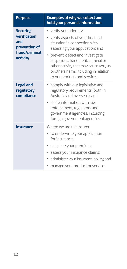| <b>Purpose</b>                                                                  | <b>Examples of why we collect and</b><br>hold your personal information                                                                                                                                                                                                                                                             |
|---------------------------------------------------------------------------------|-------------------------------------------------------------------------------------------------------------------------------------------------------------------------------------------------------------------------------------------------------------------------------------------------------------------------------------|
| Security,<br>verification<br>and<br>prevention of<br>fraud/criminal<br>activity | verify your identity;<br>٠<br>verify aspects of your financial<br>٠<br>situation in connection with<br>assessing your application; and<br>prevent, detect and investigate<br>suspicious, fraudulent, criminal or<br>other activity that may cause you, us<br>or others harm, including in relation<br>to our products and services. |
| <b>Legal and</b><br>regulatory<br>compliance                                    | • comply with our legislative and<br>regulatory requirements (both in<br>Australia and overseas); and<br>• share information with law<br>enforcement, regulators and<br>government agencies, including<br>foreign government agencies.                                                                                              |
| <b>Insurance</b>                                                                | Where we are the insurer<br>• to underwrite your application<br>for insurance;<br>calculate your premium;<br>٠<br>assess your insurance claims;<br>٠<br>administer your insurance policy; and<br>٠<br>manage your product or service.                                                                                               |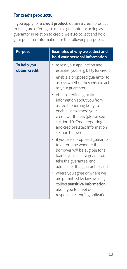#### **For credit products.**

If you apply for a **credit product**, obtain a credit product from us, are offering to act as a guarantor or acting as guarantor in relation to credit, we **also** collect and hold your personal information for the following purposes:

| <b>Purpose</b>               | <b>Examples of why we collect and</b><br>hold your personal information                                                                                                                                                                    |
|------------------------------|--------------------------------------------------------------------------------------------------------------------------------------------------------------------------------------------------------------------------------------------|
| To help you<br>obtain credit | assess your application and<br>establish your eligibility for credit;<br>enable a proposed guarantor to<br>assess whether they wish to act<br>as your guarantor;                                                                           |
|                              | • obtain credit eligibility<br>information about you from<br>a credit reporting body to<br>enable us to assess your<br>credit worthiness (please see<br>section 10 'Credit reporting<br>and credit-related information'<br>section below); |
|                              | • if you are a proposed guarantor,<br>to determine whether the<br>borrower will be eligible for a<br>loan if you act as a guarantor,<br>take the guarantee, and<br>administer that guarantee; and                                          |
|                              | • where you agree or where we<br>are permitted by law, we may<br>collect sensitive information<br>about you to meet our<br>responsible lending obligations.                                                                                |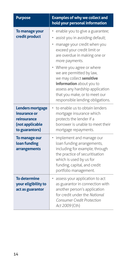| <b>Purpose</b>                                                                              | <b>Examples of why we collect and</b><br>hold your personal information                                                                                                                                                                                                                                                                                                                                      |
|---------------------------------------------------------------------------------------------|--------------------------------------------------------------------------------------------------------------------------------------------------------------------------------------------------------------------------------------------------------------------------------------------------------------------------------------------------------------------------------------------------------------|
| To manage your<br>credit product                                                            | enable you to give a guarantee;<br>assist you in avoiding default;<br>manage your credit when you<br>exceed your credit limit or<br>are overdue in making one or<br>more payments.<br>• Where you agree or where<br>we are permitted by law,<br>we may collect sensitive<br>information about you to<br>assess any hardship application<br>that you make, or to meet our<br>responsible lending obligations. |
| <b>Lenders mortgage</b><br>insurance or<br>reinsurance<br>(not applicable<br>to guarantors) | to enable us to obtain lenders<br>mortgage insurance which<br>protects the lender if a<br>borrower is unable to meet their<br>mortgage repayments.                                                                                                                                                                                                                                                           |
| To manage our<br>loan funding<br>arrangements                                               | • implement and manage our<br>loan funding arrangements,<br>including for example, through<br>the practice of securitisation<br>which is used by us for<br>funding, capital, and credit<br>portfolio management.                                                                                                                                                                                             |
| <b>To determine</b><br>your eligibility to<br>act as guarantor                              | assess your application to act<br>as guarantor in connection with<br>another person's application<br>for credit under the National<br><b>Consumer Credit Protection</b><br>Act 2009 (Cth)                                                                                                                                                                                                                    |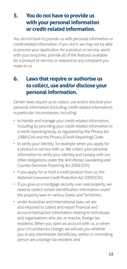# <span id="page-14-0"></span>**5. You do not have to provide us with your personal information or credit-related information.**

You do not have to provide us with personal information or credit-related information. If you don't, we may not be able to process your application for a product or service, assist with your enquiries, provide all of the features available for a product or service, or respond to any complaint you make to us.

# **6. Laws that require or authorise us to collect, use and/or disclose your personal information.**

Certain laws require us to collect, use and/or disclose your personal information (including credit-related information) in particular circumstances, including:

- to handle and manage your credit-related information, including by providing your credit-related information to a credit reporting body, as regulated by the *Privacy Act 1988* (Cth) and the Privacy (Credit Reporting) Code;
- to verify your identity, for example when you apply for a product or service with us. We collect your personal information to verify your identity and comply with our other obligations under the *Anti-Money Laundering and Counter-Terrorism Financing Act 2006* (Cth);
- if you apply for or hold a credit product from us, the *National Consumer Credit Protection Act 2009* (Cth);
- if you give us a mortgage security over real property, we need to collect certain identification information under the property laws in various States and Territories;
- under Australian and international laws, we are also required to collect and report financial and account/transaction information relating to individuals and organisations who are, or may be, foreign tax residents. When you open an account with us, or when your circumstances change, we will ask you whether you or any shareholder, beneficiary, settlor or controlling person are a foreign tax resident; and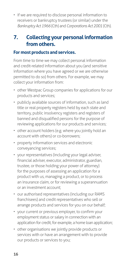<span id="page-15-0"></span>• if we are required to disclose personal information to receivers or bankruptcy trustees (or similar) under the *Bankruptcy Act 1966* (Cth) and *Corporations Act 2001* (Cth).

# **7. Collecting your personal information from others.**

#### **For most products and services.**

From time to time we may collect personal information and credit-related information about you (and sensitive information where you have agreed or we are otherwise permitted to do so) from others. For example, we may collect your information from:

- other Westpac Group companies for applications for our products and services;
- publicly available sources of information, such as land title or real property registers held by each state and territory, public insolvency registers and registers of banned and disqualified persons for the purpose of reviewing applications for our products and services;
- other account holders (e.g. where you jointly hold an account with others) or co-borrowers;
- property information services and electronic conveyancing services;
- your representatives (including your legal adviser, financial adviser, executor, administrator, guardian, trustee, or those holding your power of attorney) for the purposes of assessing an application for a product with us, managing a product, or to process an insurance claim, or for reviewing a superannuation or an investment account;
- our authorised representatives (including our RAMS franchisees) and credit representatives who sell or arrange products and services for you on our behalf;
- your current or previous employer, to confirm your employment status or salary in connection with an application for credit, for example, a home loan application;
- other organisations we jointly provide products or services with or have an arrangement with to provide our products or services to you;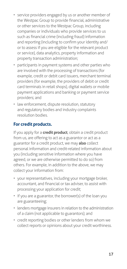- service providers engaged by us or another member of the Westpac Group to provide financial, administrative or other services to the Westpac Group, including companies or individuals who provide services to us such as financial crime (including fraud) information and reporting (including to confirm your identity and/ or to assess if you are eligible for the relevant product or service), data analytics, property information and property transaction administration;
- participants in payment systems and other parties who are involved with the processing of transactions (for example, credit or debit card issuers, merchant terminal providers (for example, the providers of debit or credit card terminals in retail shops), digital wallets or mobile payment applications and banking or payment service providers; and
- law enforcement, dispute resolution, statutory and regulatory bodies and industry complaints resolution bodies.

#### **For credit products.**

If you apply for a **credit product**, obtain a credit product from us, are offering to act as a guarantor or act as a guarantor for a credit product, we may **also** collect personal information and credit-related information about you (including sensitive information where you have agreed, or we are otherwise permitted to do so) from others. For example, in addition to the above, we may collect your information from:

- your representatives, including your mortgage broker, accountant, and financial or tax adviser, to assist with processing your application for credit;
- if you are a guarantor, the borrower(s) of the loan you are guaranteeing;
- lenders mortgage insurers in relation to the administration of a claim (not applicable to guarantors); and
- credit reporting bodies or other lenders from whom we collect reports or opinions about your credit worthiness.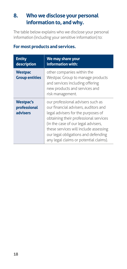# <span id="page-17-1"></span><span id="page-17-0"></span>**8. Who we disclose your personal information to, and why.**

The table below explains who we disclose your personal information (including your sensitive information) to:

| <b>Entity</b><br>description                 | We may share your<br>information with:                                                                                                                                                                                                                                                                                    |
|----------------------------------------------|---------------------------------------------------------------------------------------------------------------------------------------------------------------------------------------------------------------------------------------------------------------------------------------------------------------------------|
| <b>Westpac</b><br><b>Group entities</b>      | other companies within the<br>Westpac Group to manage products<br>and services including offering<br>new products and services and<br>risk management.                                                                                                                                                                    |
| <b>Westpac's</b><br>professional<br>advisers | our professional advisers such as<br>our financial advisers, auditors and<br>legal advisers for the purposes of<br>obtaining their professional services<br>(in the case of our legal advisers,<br>these services will include assessing<br>our legal obligations and defending<br>any legal claims or potential claims). |

#### **For most products and services.**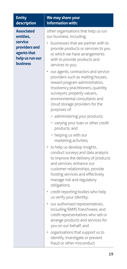| <b>Entity</b><br>description                                                                                    | We may share your<br>information with:                                                                                                                                                                                                                                                                                                            |
|-----------------------------------------------------------------------------------------------------------------|---------------------------------------------------------------------------------------------------------------------------------------------------------------------------------------------------------------------------------------------------------------------------------------------------------------------------------------------------|
| <b>Associated</b><br>entities,<br>service<br>providers and<br>agents that<br>help us run our<br><b>business</b> | other organisations that help us run<br>our business, including:<br>businesses that we partner with to<br>provide products or services to you<br>or which we have arrangements<br>with to provide products and<br>services to you;<br>our agents, contractors and service<br>providers such as mailing houses,                                    |
|                                                                                                                 | reward program administrators,<br>insolvency practitioners, quantity<br>surveyors, property valuers,<br>environmental consultants and<br>cloud storage providers for the<br>purposes of:<br>- administering your products;<br>- varying your loan or other credit                                                                                 |
|                                                                                                                 | products; and<br>- helping us with our<br>marketing activities;<br>• to help us develop insights,<br>conduct surveys and data analysis<br>to improve the delivery of products<br>and services, enhance our<br>customer relationships, provide<br>hosting services and effectively<br>manage risk and regulatory<br>obligations;                   |
|                                                                                                                 | • credit reporting bodies who help<br>us verify your identity;<br>• our authorised representatives,<br>including RAMS franchisees, and<br>credit representatives who sell or<br>arrange products and services for<br>you on our behalf; and<br>organisations that support us to<br>identify, investigate or prevent<br>fraud or other misconduct. |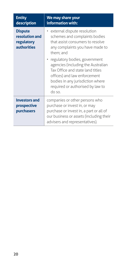| <b>Entity</b><br>description                                         | We may share your<br>information with:                                                                                                                                                                                      |
|----------------------------------------------------------------------|-----------------------------------------------------------------------------------------------------------------------------------------------------------------------------------------------------------------------------|
| <b>Dispute</b><br>resolution and<br>regulatory<br><b>authorities</b> | external dispute resolution<br>schemes and complaints bodies<br>that assist consumers to resolve<br>any complaints you have made to<br>them: and                                                                            |
|                                                                      | · regulatory bodies, government<br>agencies (including the Australian<br>Tax Office and state land titles<br>offices) and law enforcement<br>bodies in any jurisdiction where<br>required or authorised by law to<br>do so. |
| <b>Investors and</b><br>prospective<br>purchasers                    | companies or other persons who<br>purchase or invest in, or may<br>purchase or invest in, a part or all of<br>our business or assets (including their<br>advisers and representatives).                                     |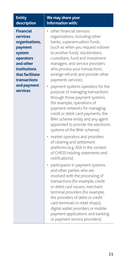| <b>Entity</b><br>description                                                                                                                                                | We may share your<br>information with:                                                                                                                                                                                                                                                                                                                                                                                                                                                                                                                                                                                                                                                                                                                                                   |
|-----------------------------------------------------------------------------------------------------------------------------------------------------------------------------|------------------------------------------------------------------------------------------------------------------------------------------------------------------------------------------------------------------------------------------------------------------------------------------------------------------------------------------------------------------------------------------------------------------------------------------------------------------------------------------------------------------------------------------------------------------------------------------------------------------------------------------------------------------------------------------------------------------------------------------------------------------------------------------|
| <b>Financial</b><br>services<br>organisations,<br>payment<br>system<br>operators<br>and other<br>institutions<br>that facilitate<br>transactions<br>and payment<br>services | other financial services<br>organisations, including other<br>banks, superannuation funds<br>(such as when you request rollover<br>to another fund), stockbrokers,<br>custodians, fund and investment<br>managers, and service providers<br>who process your transactions,<br>arrange refunds and provide other<br>payments services;<br>payment systems operators for the<br>$\bullet$<br>purpose of managing transactions<br>through those payment systems<br>(for example, operations of<br>payment networks for managing<br>credit or debit card payments, the<br>BPAY scheme entity and any agent<br>appointed to provide the electronic<br>systems of the BPAY scheme);<br>market operators and providers<br>٠<br>of clearing and settlement<br>platforms (e.g. ASX in the context |
|                                                                                                                                                                             | of CHESS holding statements and<br>notifications);<br>• participants in payment systems<br>and other parties who are<br>involved with the processing of<br>transactions (for example, credit<br>or debit card issuers, merchant<br>terminal providers (for example,<br>the providers of debit or credit<br>card terminals in retail shops),<br>digital wallet providers or mobile<br>payment applications and banking<br>or payment service providers).                                                                                                                                                                                                                                                                                                                                  |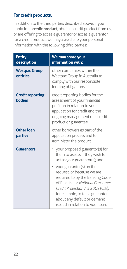#### **For credit products.**

In addition to the third parties described above, if you apply for a **credit product**, obtain a credit product from us, or are offering to act as a guarantor or act as a guarantor for a credit product, we may **also** share your personal information with the following third parties:

| <b>Entity</b><br>description             | We may share your<br>information with:                                                                                                                                                                                                                                           |
|------------------------------------------|----------------------------------------------------------------------------------------------------------------------------------------------------------------------------------------------------------------------------------------------------------------------------------|
| <b>Westpac Group</b><br>entities         | other companies within the<br>Westpac Group in Australia to<br>comply with our responsible<br>lending obligations.                                                                                                                                                               |
| <b>Credit reporting</b><br><b>bodies</b> | credit reporting bodies for the<br>assessment of your financial<br>position in relation to your<br>application for credit and the<br>ongoing management of a credit<br>product or guarantee.                                                                                     |
| <b>Other loan</b><br>parties             | other borrowers as part of the<br>application process and to<br>administer the product.                                                                                                                                                                                          |
| <b>Guarantors</b>                        | your proposed guarantor(s) for<br>٠<br>them to assess if they wish to<br>act as your guarantor(s); and<br>• your guarantor(s) on their<br>request, or because we are<br>required to by the Banking Code<br>of Practice or National Consumer<br>Credit Protection Act 2009 (Cth), |
|                                          | for example, to tell a guarantor<br>about any default or demand<br>issued in relation to your loan.                                                                                                                                                                              |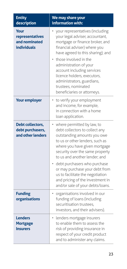| <b>Entity</b><br>description                                   | We may share your<br>information with:                                                                                                                                                                                                                                                                                                                                                                                         |
|----------------------------------------------------------------|--------------------------------------------------------------------------------------------------------------------------------------------------------------------------------------------------------------------------------------------------------------------------------------------------------------------------------------------------------------------------------------------------------------------------------|
| Your<br>representatives<br>and nominated<br><b>individuals</b> | your representatives (including<br>your legal adviser, accountant,<br>mortgage or finance broker, and<br>financial adviser) where you<br>have agreed to this sharing); and<br>those involved in the<br>administration of your<br>account including services<br>licence holders, executors,<br>administrators, guardians,<br>trustees, nominated<br>beneficiaries or attorneys.                                                 |
| <b>Your employer</b>                                           | • to verify your employment<br>and income, for example,<br>in connection with a home<br>loan application.                                                                                                                                                                                                                                                                                                                      |
| Debt collectors,<br>debt purchasers,<br>and other lenders      | where permitted by law, to<br>$\bullet$<br>debt collectors to collect any<br>outstanding amounts you owe<br>to us or other lenders, such as<br>where you have given mortgage<br>security over the same property<br>to us and another lender; and<br>debt purchasers who purchase<br>or may purchase your debt from<br>us to facilitate the negotiation<br>and pricing of the investment in<br>and/or sale of your debts/loans. |
| <b>Funding</b><br>organisations                                | organisations involved in our<br>funding of loans (including<br>securitisation trustees,<br>investors, and their advisers).                                                                                                                                                                                                                                                                                                    |
| <b>Lenders</b><br><b>Mortgage</b><br><b>Insurers</b>           | lenders mortgage insurers<br>$\bullet$<br>to enable them to assess the<br>risk of providing insurance in<br>respect of your credit product<br>and to administer any claims.                                                                                                                                                                                                                                                    |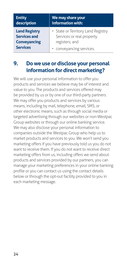| <b>Entity</b>        | We may share your                  |
|----------------------|------------------------------------|
| description          | information with:                  |
| <b>Land Registry</b> | • State or Territory Land Registry |
| <b>Services and</b>  | Services or real property          |
| <b>Conveyancing</b>  | registers; and                     |
| <b>Services</b>      | • conveyancing services.           |

### <span id="page-23-0"></span>**9. Do we use or disclose your personal information for direct marketing?**

We will use your personal information to offer you products and services we believe may be of interest and value to you. The products and services offered may be provided by us or by one of our third-party partners. We may offer you products and services by various means, including by mail, telephone, email, SMS, or other electronic means, such as through social media or targeted advertising through our websites or non-Westpac Group websites or through our online banking service. We may also disclose your personal information to companies outside the Westpac Group who help us to market products and services to you. We won't send you marketing offers if you have previously told us you do not want to receive them. If you do not want to receive direct marketing offers from us, including offers we send about products and services provided by our partners, you can manage your marketing preferences in your online banking profile or you can contact us using the contact details below or through the opt-out facility provided to you in each marketing message.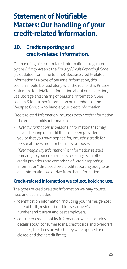# <span id="page-24-0"></span>**Statement of Notifiable Matters: Our handling of your credit-related information.**

# <span id="page-24-1"></span>**10. Credit reporting and credit-related information.**

Our handling of credit-related information is regulated by the *Privacy Act* and the *Privacy (Credit Reporting) Code* (as updated from time to time). Because credit-related information is a type of personal information, this section should be read along with the rest of this Privacy Statement for detailed information about our collection, use, storage and sharing of personal information. [See](#page-8-1)  [section 3](#page-8-1) for further information on members of the Westpac Group who handle your credit information

Credit-related information includes both credit information and credit eligibility information.

- *"Credit information"* is personal information that may have a bearing on credit that has been provided to you or that you have applied for, including credit for personal, investment or business purposes.
- *"Credit eligibility information"* is information related primarily to your credit-related dealings with other credit providers and comprises of "credit reporting information" disclosed by a credit reporting body to us, and information we derive from that information.

#### **Credit-related information we collect, hold and use.**

The types of credit-related information we may collect, hold and use includes:

- identification information, including your name, gender, date of birth, residential addresses, driver's licence number and current and past employers;
- consumer credit liability information, which includes details about consumer loans, credit cards and overdraft facilities, the dates on which they were opened and closed and their credit limits;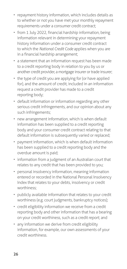- repayment history information, which includes details as to whether or not you have met your monthly repayment requirements under a consumer credit contract;
- from 1 July 2022, financial hardship information, being information relevant in determining your repayment history information under a consumer credit contract to which the *National Credit Code* applies when you are in a financial hardship arrangement;
- a statement that an information request has been made to a credit reporting body in relation to you by us or another credit provider, a mortgage insurer or trade insurer;
- the type of credit you are applying for (or have applied for), and the amount of credit, included in an information request a credit provider has made to a credit reporting body;
- default information or information regarding any other serious credit infringements, and our opinion about any such infringements;
- new arrangement information, which is when default information has been supplied to a credit reporting body and your consumer credit contract relating to that default information is subsequently varied or replaced:
- payment information, which is when default information has been supplied to a credit reporting body and the overdue amount is paid;
- information from a judgment of an Australian court that relates to any credit that has been provided to you;
- personal insolvency information, meaning information entered or recorded in the National Personal Insolvency Index that relates to your debts, insolvency or credit worthiness;
- publicly available information that relates to your credit worthiness (e.g. court judgments, bankruptcy notices);
- credit eligibility information we receive from a credit reporting body and other information that has a bearing on your credit worthiness, such as a credit report; and
- any information we derive from credit eligibility information, for example, our own assessments of your credit worthiness.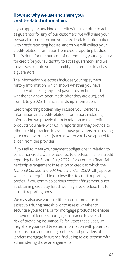#### **How and why we use and share your credit-related information.**

If you apply for any kind of credit with us or offer to act as guarantor for any of our customers, we will share your personal information and your credit-related information with credit reporting bodies, and/or we will collect your credit-related information from credit reporting bodies. This is done for the purpose of determining your eligibility for credit (or your suitability to act as guarantor), and we may assess or rate your suitability for credit (or to act as a guarantor).

The information we access includes your repayment history information, which shows whether you have a history of making required payments on time (and whether any have been made after they are due), and from 1 July 2022, financial hardship information.

Credit reporting bodies may include your personal information and credit-related information, including information we provide them in relation to the credit products you have with us, in reports that they provide to other credit providers to assist those providers in assessing your credit worthiness (such as when you have applied for a loan from the provider).

If you fail to meet your payment obligations in relation to consumer credit, we are required to disclose this to a credit reporting body. From 1 July 2022, if you enter a financial hardship arrangement in relation to credit to which the *National Consumer Credit Protection Act 2009* (Cth) applies, we are also required to disclose this to credit reporting bodies. If you commit a serious credit infringement, such as obtaining credit by fraud, we may also disclose this to a credit reporting body.

We may also use your credit-related information to assist you during hardship, or to assess whether to securitise your loans, or for mortgage products to enable a provider of lenders mortgage insurance to assess the risk of providing insurance. To facilitate these uses, we may share your credit-related information with potential securitisation and funding partners and providers of lenders mortgage insurance, including to assist them with administering those arrangements.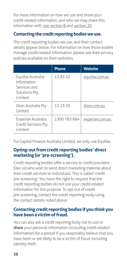For more information on how we use and share your credit-related information, and who we may share this information with, see [section 8](#page-17-1) and [section 20.](#page-40-1)

#### **Contacting the credit reporting bodies we use.**

The credit reporting bodies we use, and their contact details appear below. For information on how those bodies manage credit-related information, please see their privacy policies available on their websites.

|                                                                              | <b>Phone</b> | <b>Website</b>  |
|------------------------------------------------------------------------------|--------------|-----------------|
| Equifax Australia<br>Information<br>Services and<br>Solutions Pty<br>Limited | 13 83 32     | equifax.com.au  |
| Illion Australia Pty<br>Limited                                              | 13 23 33     | illion.com.au   |
| Experian Australia<br><b>Credit Services Pty</b><br>Limited                  | 1300 783 684 | experian.com.au |

For Capital Finance Australia Limited, we only use Equifax.

#### **Opting-out from credit reporting bodies' direct marketing (or 'pre-screening').**

Credit reporting bodies offer a service to credit providers (like us) who wish to send direct marketing material about their credit services to individuals. This is called 'credit pre-screening'. You have the right to request that the credit reporting bodies do not use your credit-related information for this purpose. To opt-out of credit pre-screening, contact the credit reporting body using the contact details noted above.

#### **Contacting credit reporting bodies if you think you have been a victim of fraud.**

You can also ask a credit reporting body not to use or **share** your personal information (including credit-related information) for a period if you reasonably believe that you have been or are likely to be a victim of fraud, including identity theft.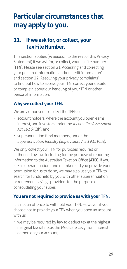# <span id="page-28-0"></span>**Particular circumstances that may apply to you.**

# <span id="page-28-1"></span>**11. If we ask for, or collect, your Tax File Number.**

This section applies (*in addition* to the rest of this Privacy Statement) if we ask for, or collect, your tax file number (**TFN**). Please see [section 21](#page-40-2) 'Accessing and correcting your personal information and/or credit information' and [section 22](#page-41-1) 'Resolving your privacy complaints' to find out how to access your TFN, correct your details, or complain about our handling of your TFN or other personal information.

#### **Why we collect your TFN.**

We are authorised to collect the TFNs of:

- account holders, where the account you open earns interest, and investors under the *Income Tax Assessment Act 1936* (Cth); and
- superannuation fund members, under the *Superannuation Industry (Supervision) Act 1933* (Cth).

We only collect your TFN for purposes required or authorised by law, including for the purpose of reporting information to the Australian Taxation Office (**ATO**). If you are a superannuation fund member and you provide your permission for us to do so, we may also use your TFN to search for funds held by you with other superannuation or retirement savings providers for the purpose of consolidating your super.

#### **You are not required to provide us with your TFN.**

It is not an offence to withhold your TFN. However, if you choose not to provide your TFN when you open an account with us:

• we may be required by law to deduct tax at the highest marginal tax rate plus the Medicare Levy from interest earned on your account;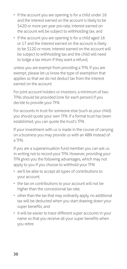- if the account you are opening is for a child under 16 and the interest earned on the account is likely to be \$420 or more per year pro-rata, interest earned on the account will be subject to withholding tax; and
- if the account you are opening is for a child aged 16 or 17 and the interest earned on the account is likely to be \$120 or more, interest earned on the account will be subject to withholding tax and the child will need to lodge a tax return if they want a refund,

unless you are exempt from providing a TFN. If you are exempt, please let us know the type of exemption that applies so that we do not deduct tax from the interest earned on the account.

For joint account holders or investors, a minimum of two TFNs should be provided (one for each person) if you decide to provide your TFN.

For accounts in trust for someone else (such as your child) you should quote your own TFN. If a formal trust has been established, you can quote the trust's TFN.

If your investment with us is made in the course of carrying on a business you may provide us with an ABN instead of a TFN.

If you are a superannuation fund member you can ask us in writing not to record your TFN. However, providing your TFN gives you the following advantages, which may not apply to you if you choose to withhold your TFN:

- we'll be able to accept all types of contributions to your account;
- the tax on contributions to your account will not be higher than the concessional tax rate;
- other than the tax that may ordinarily apply, no additional tax will be deducted when you start drawing down your super benefits; and
- it will be easier to trace different super accounts in your name so that you receive all your super benefits when you retire.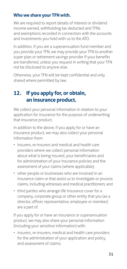#### <span id="page-30-0"></span>**Who we share your TFN with.**

We are required to report details of interest or dividend income earned, withholding tax deducted and TFNs and exemptions recorded in connection with the accounts and investments you hold with us to the ATO.

In addition, if you are a superannuation fund member and you provide your TFN, we may provide your TFN to another super plan or retirement savings provider if your benefits are transferred, unless you request in writing that your TFN not be disclosed to anyone else.

Otherwise, your TFN will be kept confidential and only shared where permitted by law.

# <span id="page-30-1"></span>**12. If you apply for, or obtain, an insurance product.**

We collect your personal information in relation to your application for insurance for the purpose of underwriting that insurance product.

In addition to the above, if you apply for or have an insurance product, we may also collect your personal information from:

- insurers, re-insurers and medical and health care providers where we collect personal information about what is being insured, your beneficiaries and for administration of your insurance policies and the assessment of your claims (where applicable);
- other people or businesses who are involved in an insurance claim or that assist us to investigate or process claims, including witnesses and medical practitioners; and
- third parties who arrange life insurance cover for a company, corporate group or other entity that you (as a director, officer, representative, employee or member) are a part of.

If you apply for or have an insurance or superannuation product, we may also share your personal information (including your sensitive information) with:

• insurers, re-insurers, medical and health care providers for the administration of your application and policy, and assessment of claims;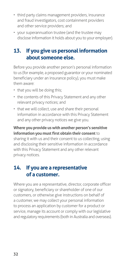- <span id="page-31-0"></span>• third party claims management providers, insurance and fraud investigators, cost containment providers and other service providers; and
- your superannuation trustee (and the trustee may disclose information it holds about you to your employer).

# <span id="page-31-1"></span>**13. If you give us personal information about someone else.**

Before you provide another person's personal information to us (for example, a proposed guarantor or your nominated beneficiary under an insurance policy), you must make them aware:

- that you will be doing this;
- the contents of this Privacy Statement and any other relevant privacy notices; and
- that we will collect, use and share their personal information in accordance with this Privacy Statement and any other privacy notices we give you.

#### **Where you provide us with another person's sensitive information you must first obtain their consent** to

sharing it with us and their consent to us collecting, using and disclosing their sensitive information in accordance with this Privacy Statement and any other relevant privacy notices.

# **14. If you are a representative of a customer.**

Where you are a representative, director, corporate officer or signatory, beneficiary or shareholder of one of our customers, or otherwise give instructions on behalf of a customer, we may collect your personal information to process an application by customer for a product or service, manage its account or comply with our legislative and regulatory requirements (both in Australia and overseas).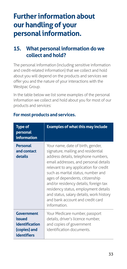# <span id="page-32-0"></span>**Further information about our handling of your personal information.**

# **15. What personal information do we collect and hold?**

The personal information (including sensitive information and credit-related information) that we collect and hold about you will depend on the products and services we offer you and the nature of your interactions with the Westpac Group.

In the table below we list some examples of the personal information we collect and hold about you for most of our products and services:

| <b>Type of</b><br>personal<br><i>information</i>                             | <b>Examples of what this may include</b>                                                                                                                                                                                                                                                                                                                                                                                                                    |
|------------------------------------------------------------------------------|-------------------------------------------------------------------------------------------------------------------------------------------------------------------------------------------------------------------------------------------------------------------------------------------------------------------------------------------------------------------------------------------------------------------------------------------------------------|
| <b>Personal</b><br>and contact<br>details                                    | Your name, date of birth, gender,<br>signature, mailing and residential<br>address details, telephone numbers,<br>email addresses, and personal details<br>relevant to any application for credit<br>such as marital status, number and<br>ages of dependents, citizenship<br>and/or residency details, foreign tax<br>residency status, employment details<br>and status, salary details, work history<br>and bank account and credit card<br>information. |
| Government<br>issued<br>identification<br>(copies) and<br><b>identifiers</b> | Your Medicare number, passport<br>details, driver's licence number,<br>and copies of government<br>identification documents.                                                                                                                                                                                                                                                                                                                                |

#### **For most products and services.**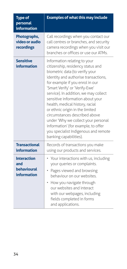| <b>Type of</b><br>personal<br><b>information</b>               | <b>Examples of what this may include</b>                                                                                                                                                                                                                                                                                                                                                                                                                                                                                                             |
|----------------------------------------------------------------|------------------------------------------------------------------------------------------------------------------------------------------------------------------------------------------------------------------------------------------------------------------------------------------------------------------------------------------------------------------------------------------------------------------------------------------------------------------------------------------------------------------------------------------------------|
| Photographs,<br>video or audio<br>recordings                   | Call recordings when you contact our<br>call centres or branches, and security<br>camera recordings when you visit our<br>branches or offices or use our ATMs.                                                                                                                                                                                                                                                                                                                                                                                       |
| <b>Sensitive</b><br>information                                | Information relating to your<br>citizenship, residency status and<br>biometric data (to verify your<br>identity and authorise transactions,<br>for example if you enrol in our<br>'Smart Verify' or 'Verify-Ewe'<br>service). In addition, we may collect<br>sensitive information about your<br>health, medical history, racial<br>or ethnic origin in the limited<br>circumstances described above<br>under 'Why we collect your personal<br>information' (for example, to offer<br>you specialist Indigenous and remote<br>banking capabilities). |
| <b>Transactional</b><br>information                            | Records of transactions you make<br>using our products and services.                                                                                                                                                                                                                                                                                                                                                                                                                                                                                 |
| <b>Interaction</b><br>and<br>behavioural<br><b>information</b> | • Your interactions with us, including<br>your queries or complaints.<br>Pages viewed and browsing<br>behaviour on our websites.<br>How you navigate through<br>our websites and interact<br>with our webpages, including<br>fields completed in forms<br>and applications.                                                                                                                                                                                                                                                                          |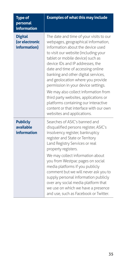| <b>Type of</b><br>personal<br>information        | <b>Examples of what this may include</b>                                                                                                                                                                                                                                                                                                                                                                                                                                                                                                                                                     |
|--------------------------------------------------|----------------------------------------------------------------------------------------------------------------------------------------------------------------------------------------------------------------------------------------------------------------------------------------------------------------------------------------------------------------------------------------------------------------------------------------------------------------------------------------------------------------------------------------------------------------------------------------------|
| <b>Digital</b><br>(or electronic<br>information) | The date and time of your visits to our<br>webpages, geographical information,<br>information about the device used<br>to visit our website (including your<br>tablet or mobile device) such as<br>device IDs and IP addresses, the<br>date and time of accessing online<br>banking and other digital services,<br>and geolocation where you provide<br>permission in your device settings.<br>We may also collect information from<br>third party websites, applications or<br>platforms containing our interactive<br>content or that interface with our own<br>websites and applications. |
| <b>Publicly</b><br>available<br>information      | Searches of ASIC's banned and<br>disqualified persons register, ASIC's<br>insolvency register, bankruptcy<br>register and State or Territory<br>Land Registry Services or real<br>property registers.<br>We may collect information about<br>you from Westpac pages on social<br>media platforms if you publicly<br>comment but we will never ask you to<br>supply personal information publicly<br>over any social media platform that<br>we use on which we have a presence<br>and use, such as Facebook or Twitter.                                                                       |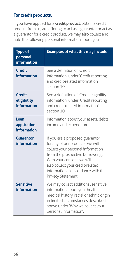#### **For credit products.**

If you have applied for a **credit product**, obtain a credit product from us, are offering to act as a guarantor or act as a guarantor for a credit product, we may **also** collect and hold the following personal information about you:

| <b>Type of</b><br>personal<br>information   | <b>Examples of what this may include</b>                                                                                                                                                                                                                                     |
|---------------------------------------------|------------------------------------------------------------------------------------------------------------------------------------------------------------------------------------------------------------------------------------------------------------------------------|
| <b>Credit</b><br>information                | See a definition of 'Credit<br>information' under 'Credit reporting<br>and credit-related information'<br>section 10.                                                                                                                                                        |
| <b>Credit</b><br>eligibility<br>information | See a definition of 'Credit eligibility<br>information' under 'Credit reporting<br>and credit-related information'<br>section 10.                                                                                                                                            |
| Loan<br>application<br>information          | Information about your assets, debts,<br>income and expenditure.                                                                                                                                                                                                             |
| Guarantor<br>information                    | If you are a proposed guarantor<br>for any of our products, we will<br>collect your personal information<br>from the prospective borrower(s).<br>With your consent, we will<br>also collect your credit-related<br>information in accordance with this<br>Privacy Statement. |
| <b>Sensitive</b><br>information             | We may collect additional sensitive<br>information about your health,<br>medical history, racial or ethnic origin<br>in limited circumstances described<br>above under 'Why we collect your<br>personal information'.                                                        |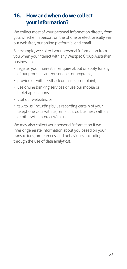# <span id="page-36-0"></span>**16. How and when do we collect your information?**

We collect most of your personal information directly from you, whether in person, on the phone or electronically via our websites, our online platform(s) and email.

For example, we collect your personal information from you when you interact with any Westpac Group Australian business to:

- register your interest in, enquire about or apply for any of our products and/or services or programs;
- provide us with feedback or make a complaint;
- use online banking services or use our mobile or tablet applications;
- visit our websites; or
- talk to us (including by us recording certain of your telephone calls with us), email us, do business with us or otherwise interact with us.

We may also collect your personal information if we infer or generate information about you based on your transactions, preferences, and behaviours (including through the use of data analytics).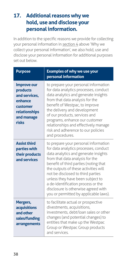# <span id="page-37-0"></span>**17. Additional reasons why we hold, use and disclose your personal information.**

In addition to the specific reasons we provide for collecting your personal information in [section 4](#page-10-1) above 'Why we collect your personal information', we also hold, use and disclose your personal information for additional purposes set out below.

| <b>Purpose</b>                                                                                                 | <b>Examples of why we use your</b><br>personal information                                                                                                                                                                                                                                                                                                                                                                               |
|----------------------------------------------------------------------------------------------------------------|------------------------------------------------------------------------------------------------------------------------------------------------------------------------------------------------------------------------------------------------------------------------------------------------------------------------------------------------------------------------------------------------------------------------------------------|
| <b>Improve our</b><br>products<br>and services,<br>enhance<br>customer<br>relationships<br>and manage<br>risks | to prepare your personal information<br>for data analytics processes, conduct<br>data analytics and generate insights<br>from that data analysis for the<br>benefit of Westpac, to improve<br>the delivery and development<br>of our products, services and<br>programs, enhance our customer<br>relationships and effectively manage<br>risk and adherence to our policies<br>and procedures.                                           |
| <b>Assist third</b><br>parties with<br>their products<br>and services                                          | to prepare your personal information<br>for data analytics processes, conduct<br>data analytics and generate insights<br>from that data analysis for the<br>benefit of third parties (noting that<br>the outputs of these activities will<br>not be disclosed to third parties<br>unless they have been subject to<br>a de-identification process or the<br>disclosure is otherwise agreed with<br>you or permitted by applicable laws). |
| Mergers,<br>acquisitions<br>and other<br>sales/funding<br>arrangements                                         | to facilitate actual or prospective<br>divestments, acquisitions,<br>investments, debt/loan sales or other<br>changes (and potential changes) to<br>entities that make up the Westpac<br>Group or Westpac Group products<br>and services                                                                                                                                                                                                 |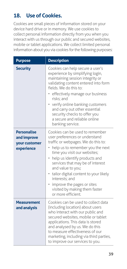# <span id="page-38-0"></span>**18. Use of Cookies.**

Cookies are small pieces of information stored on your device hard drive or in memory. We use cookies to collect personal information directly from you when you interact with us through our public and secured websites, mobile or tablet applications. We collect limited personal information about you via cookies for the following purposes:

| <b>Purpose</b>                                                   | <b>Description</b>                                                                                                                                                                                                                                                                                                                                                                                                              |
|------------------------------------------------------------------|---------------------------------------------------------------------------------------------------------------------------------------------------------------------------------------------------------------------------------------------------------------------------------------------------------------------------------------------------------------------------------------------------------------------------------|
| <b>Security</b>                                                  | Cookies can help secure a user's<br>experience by simplifying login,<br>maintaining session integrity or<br>validating content entered into form<br>fields. We do this to:<br>effectively manage our business<br>risks; and<br>verify online banking customers<br>and carry out other essential<br>security checks to offer you<br>a secure and reliable online<br>banking service.                                             |
| <b>Personalise</b><br>and improve<br>your customer<br>experience | Cookies can be used to remember<br>user preferences or understand<br>traffic or webpages. We do this to:<br>help us to remember you the next<br>time you visit our websites;<br>help us identify products and<br>۰<br>services that may be of interest<br>and value to you;<br>· tailor digital content to your likely<br>interests; and<br>• improve the pages or sites<br>visited by making them faster<br>or more efficient. |
| Measurement<br>and analysis                                      | Cookies can be used to collect data<br>(including location) about users<br>who interact with our public and<br>secured websites, mobile or tablet<br>applications. This data is stored<br>and analysed by us. We do this<br>to measure effectiveness of our<br>marketing, including via third parties,<br>to improve our services to you.                                                                                       |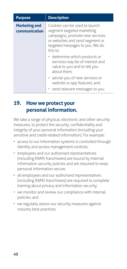<span id="page-39-0"></span>

| <b>Purpose</b>                        | <b>Description</b>                                                                                                                                                               |
|---------------------------------------|----------------------------------------------------------------------------------------------------------------------------------------------------------------------------------|
| <b>Marketing and</b><br>communication | Cookies can be used to launch<br>segment targeted marketing<br>campaigns, promote new services<br>or websites and send segment or<br>targeted messages to you. We do<br>this to: |
|                                       | • determine which products or<br>services may be of interest and<br>value to you and to tell you<br>about them:                                                                  |
|                                       | • advise you of new services or<br>website or app features; and                                                                                                                  |
|                                       | • send relevant messages to you.                                                                                                                                                 |

### **19. How we protect your personal information.**

We take a range of physical, electronic and other security measures, to protect the security, confidentiality and integrity of your personal information (including your sensitive and credit-related information). For example:

- access to our information systems is controlled through identity and access management controls;
- employees and our authorised representatives (including RAMS franchisees) are bound by internal information security policies and are required to keep personal information secure;
- all employees and our authorised representatives (including RAMS franchisees) are required to complete training about privacy and information security;
- we monitor and review our compliance with internal policies; and
- we regularly assess our security measures against industry best practices.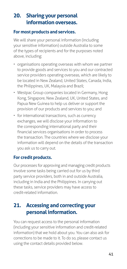# <span id="page-40-1"></span><span id="page-40-0"></span>**20. Sharing your personal information overseas.**

#### **For most products and services.**

We will share your personal information (including your sensitive information) outside Australia to some of the types of recipients and for the purposes noted above, including:

- organisations operating overseas with whom we partner to provide goods and services to you and our contracted service providers operating overseas, which are likely to be located in New Zealand, United States, Canada, India, the Philippines, UK, Malaysia and Brazil;
- Westpac Group companies located in Germany, Hong Kong, Singapore, New Zealand, UK, United States, and Papua New Guinea to help us deliver or support the provision of our products and services to you; and
- for international transactions, such as currency exchanges, we will disclose your information to the corresponding international party and their financial services organisations in order to process the transaction. The countries where we disclose your information will depend on the details of the transaction you ask us to carry out.

#### **For credit products.**

Our processes for approving and managing credit products involve some tasks being carried out for us by third party service providers, both in and outside Australia, including in India and the Philippines. In carrying out these tasks, service providers may have access to credit-related information.

# <span id="page-40-2"></span>**21. Accessing and correcting your personal information.**

You can request access to the personal information (including your sensitive information and credit-related information) that we hold about you. You can also ask for corrections to be made to it. To do so, please contact us using the contact details provided below.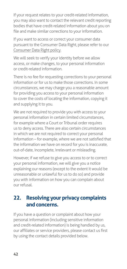<span id="page-41-0"></span>If your request relates to your credit-related information, you may also want to contact the relevant credit reporting bodies that have credit-related information about you on file and make similar corrections to your information.

If you want to access or correct your consumer data pursuant to the Consumer Data Right, please refer to our [Consumer Data Right policy.](https://www.westpac.com.au/content/dam/public/wbc/documents/pdf/aw/WBC_CDR_Policy.pdf)

We will seek to verify your identity before we allow access, or make changes, to your personal information or credit-related information.

There is no fee for requesting corrections to your personal information or for us to make those corrections. In some circumstances, we may charge you a reasonable amount for providing you access to your personal information to cover the costs of locating the information, copying it and supplying it to you.

We are not required to provide you with access to your personal information in certain limited circumstances, for example where a Court or Tribunal order requires us to deny access. There are also certain circumstances in which we are not required to correct your personal information – for example, where we are not satisfied that the information we have on record for you is inaccurate, out-of-date, incomplete, irrelevant or misleading.

However, if we refuse to give you access to or to correct your personal information, we will give you a notice explaining our reasons (except to the extent it would be unreasonable or unlawful for us to do so) and provide you with information on how you can complain about our refusal.

# <span id="page-41-1"></span>**22. Resolving your privacy complaints and concerns.**

If you have a question or complaint about how your personal information (including sensitive information and credit-related information) is being handled by us, our affiliates or service providers, please contact us first by using the contact details provided below.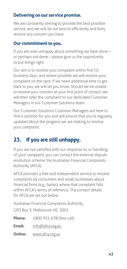#### <span id="page-42-0"></span>**Delivering on our service promise.**

We are constantly striving to provide the best possible service, and we will do our best to efficiently and fairly resolve any concern you have.

#### **Our commitment to you.**

If you are ever unhappy about something we have done – or perhaps not done – please give us the opportunity to put things right.

Our aim is to resolve your complaint within five (5) business days, and where possible we will resolve your complaint on the spot. If we need additional time to get back to you, we will let you know. Should we be unable to resolve your concern at your first point of contact, we will then refer the complaint to our dedicated Customer Managers in our Customer Solutions team.

Our Customer Solutions Customer Managers are here to find a solution for you and will ensure that you're regularly updated about the progress we are making to resolve your complaint.

# **23. If you are still unhappy.**

If you are not satisfied with our response to, or handling of, your complaint, you can contact the external dispute resolution scheme, the Australian Financial Complaints Authority (AFCA).

AFCA provides a free and independent service to resolve complaints by consumers and small businesses about financial firms (e.g., banks), where that complaint falls within AFCA's terms of reference. The contact details for AFCA are set out below.

Australian Financial Complaints Authority GPO Box 3, Melbourne VIC 3001

| <b>Phone:</b>  | 1800 931 678 (free call) |
|----------------|--------------------------|
| Email:         | info@afca.org.au         |
| <b>Online:</b> | www.afca.org.au          |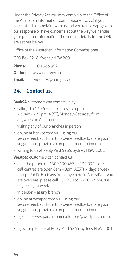<span id="page-43-0"></span>Under the Privacy Act you may complain to the Office of the Australian Information Commissioner (OAIC) if you have raised a complaint with us and you're not happy with our response or have concerns about the way we handle your personal information. The contact details for the OAIC are set out below.

Office of the Australian Information Commissioner

GPO Box 5218, Sydney NSW 2001

| <b>Phone:</b> | 1300 363 992          |
|---------------|-----------------------|
| Online:       | www.oaic.gov.au       |
| Email:        | enquiries@oaic.gov.au |

# **24. Contact us.**

**BankSA** customers can contact us by:

- calling 13 13 76 call centres are open 7:30am - 7:30pm (ACST), Monday–Saturday from anywhere in Australia;
- visiting any of our branches in person;
- online at [banksa.com.au](http://banksa.com.au) using our [secure feedback form](https://eforms.banksa.com.au/olfmu/eforms/ConsumerFeedback/#/welcome) to provide feedback, share your suggestions, provide a complaint or compliment; or
- writing to us at Reply Paid 5265, Sydney NSW 2001.

**Westpac** customers can contact us:

- over the phone on 1300 130 467 or 132 032 our call centres are open 8am – 8pm (AEST), 7 days a week except Public Holidays from anywhere in Australia. If you are overseas, please call +61 2 9155 7700, 24 hours a day, 7 days a week;
- in person at any branch;
- online at [westpac.com.au](http://westpac.com.au)  using our [secure feedback form](https://banking.westpac.com.au/olfmu/eforms/ConsumerFeedback/#/welcome) to provide feedback, share your suggestions, provide a complaint or compliment;
- by email – [westpaccustomersolutions@westpac.com.au;](mailto:westpaccustomersolutions%40westpac.com.au?subject=) or
- by writing to us at Reply Paid 5265, Sydney NSW 2001.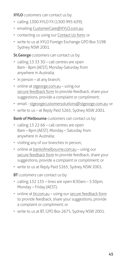**XYLO** customers can contact us by:

- calling 1300 XYLO FX (1300 995 639);
- emailing [CustomerCare@XYLO.com.au](https://www.xylo.com.au/contact_us.aspx);
- contacting us using our [Contact Us form](https://www.xylo.com.au/contact_us.aspx); or
- write to us at XYLO Foreign Exchange GPO Box 5198 Sydney NSW 2001.

**St.George** customers can contact us by:

- calling 13 33 30 call centres are open 8am - 8pm (AEST), Monday-Saturday from anywhere in Australia;
- in person at any branch;
- online at [stgeorge.com.au](http://stgeorge.com.au) using our [secure feedback form](https://eforms.stgeorge.com.au/olfmu/eforms/ConsumerFeedback/#/welcome) to provide feedback, share your suggestions, provide a complaint or compliment;
- email - [stgeorgecustomersolutions@stgeorge.com.au](mailto:stgeorgecustomersolutions%40stgeorge.com.au?subject=); or
- write to us at Reply Paid 5265, Sydney NSW 2001.

**Bank of Melbourne** customers can contact us by:

- calling 13 22 66 call centres are open 8am – 8pm (AEST), Monday – Saturday from anywhere in Australia;
- visiting any of our branches in person;
- online at [bankofmelbourne.com.au](http://bankofmelbourne.com.au) using our [secure feedback form](https://eforms.bankofmelbourne.com.au/olfmu/eforms/ConsumerFeedback/#/welcome) to provide feedback, share your suggestions, provide a complaint or compliment; or
- write to us at Reply Paid 5265, Sydney NSW 2001.

**BT** customers can contact us by:

- calling 132 135 lines are open 8:30am 5:30pm, Monday – Friday (AEST);
- online at [bt.com.au](http://bt.com.au) using our [secure feedback form](https://secure.bt.com.au/forms/complaints.asp) to provide feedback, share your suggestions, provide a complaint or compliment; or
- write to us at BT, GPO Box 2675, Sydney NSW 2001.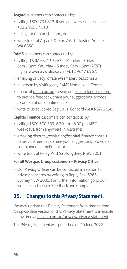<span id="page-45-0"></span>Asgard customers can contact us by:

- calling 1800 731 812. If you are overseas please call +61 2 9155 4010;
- using our [Contact Us form](https://secure.bt.com.au/contact-us/contact-asgard.asp); or
- write to us at Asgard PO Box 7490, Cloisters Square WA 6850.

**RAMS** customers can contact us by:

- calling 13 RAMS (13 7267) Monday Friday 8am – 8pm, Saturday – Sunday 9am – 5pm (AEST). If you're overseas please call +612 9647 6967;
- emailing [privacy\\_officer@ramsservices.com.au](mailto:privacy_officer%40ramsservices.com.au?subject=);
- in person by visiting any RAMS Home Loan Centre;
- online at rams.com.au using our [secure feedback form](https://www.rams.com.au/contact-us-feedback-and-complaints/) to provide feedback, share your suggestions, provide a complaint or compliment; or
- write to us at Locked Bag 5001, Concord West NSW 2138.

**Capital Finance** customers can contact us by:

- calling 1300 300 309 8:30 am 6:00 pm AEST weekdays, from anywhere in Australia;
- emailing [dispute\\_resolution@capital-finance.com.au](mailto:dispute_resolution%40capital-finance.com.au?subject=) to provide feedback, share your suggestions, provide a complaint or compliment; or
- write to us at Reply Paid 5265, Sydney NSW 2001.

#### **For all Westpac Group customers – Privacy Officer**

• Our Privacy Officer can be contacted in relation to privacy concerns by writing to Reply Paid 5265, Sydney NSW 2001. For further information go to our website and search 'Feedback and Complaints'.

# **25. Changes to this Privacy Statement.**

We may update this Privacy Statement from time to time. An up-to-date version of this Privacy Statement is available at any time at [banksa.com.au/privacy/privacy-statement](http://banksa.com.au/privacy/privacy-statement)

This Privacy Statement was published on 20 June 2022.